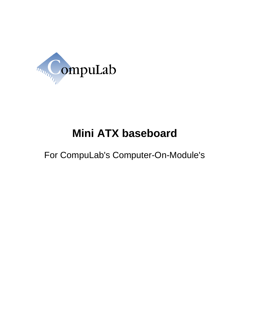

# **Mini ATX baseboard**

# For CompuLab's Computer-On-Module's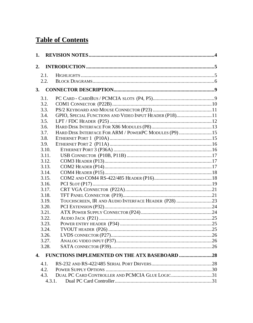# **Table of Contents**

| 1.           |                                                              |  |
|--------------|--------------------------------------------------------------|--|
| 2.           |                                                              |  |
| 2.1.         |                                                              |  |
| 2.2.         |                                                              |  |
| 3.           |                                                              |  |
| 3.1.         |                                                              |  |
| 3.2.         |                                                              |  |
| 3.3.         |                                                              |  |
| 3.4.         | GPIO, SPECIAL FUNCTIONS AND VIDEO INPUT HEADER (P18)11       |  |
| 3.5.         |                                                              |  |
| 3.6.         |                                                              |  |
| 3.7.         | HARD DISK INTERFACE FOR ARM / POWERPC MODULES (P9)  15       |  |
| 3.8.         |                                                              |  |
| 3.9.         |                                                              |  |
|              | 3.10.                                                        |  |
|              | 3.11.                                                        |  |
|              | 3.12.                                                        |  |
|              | 3.13.                                                        |  |
|              | 3.14.                                                        |  |
|              | 3.15.                                                        |  |
|              | 3.16.                                                        |  |
|              | 3.17.                                                        |  |
|              | 3.18.                                                        |  |
|              | TOUCHSCREEN, IR AND AUDIO INTERFACE HEADER (P28) 23<br>3.19. |  |
|              | 3.20.                                                        |  |
|              | 3.21.                                                        |  |
|              | 3.22.                                                        |  |
|              | 3.23.                                                        |  |
|              | 3.24.                                                        |  |
|              | 3.26.                                                        |  |
|              | 3.27.                                                        |  |
|              | 3.28.                                                        |  |
| $\mathbf{4}$ | FUNCTIONS IMPLEMENTED ON THE ATX BASEBOARD 28                |  |
| 4.1.         |                                                              |  |
| 4.2.         |                                                              |  |
| 4.3.         | DUAL PC CARD CONTROLLER AND PCMCIA GLUE LOGIC31              |  |
|              | 4.3.1.                                                       |  |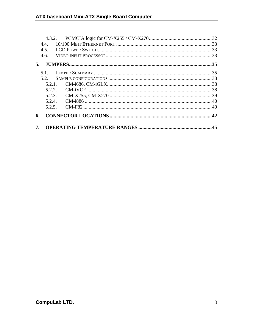|    | 4.4.    |  |
|----|---------|--|
|    | 4.5.    |  |
|    | 4.6.    |  |
| 5. |         |  |
|    | $5.1$ . |  |
|    | 52      |  |
|    | 5.2.1   |  |
|    | 5.2.2.  |  |
|    | 5.2.3.  |  |
|    | 5.2.4   |  |
|    | 5.2.5.  |  |
| 6. |         |  |
| 7. |         |  |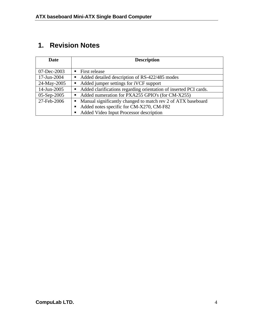# **1. Revision Notes**

| <b>Date</b>     | <b>Description</b>                                                |  |  |
|-----------------|-------------------------------------------------------------------|--|--|
|                 |                                                                   |  |  |
| $07 - Dec-2003$ | • First release                                                   |  |  |
| 17-Jun-2004     | Added detailed description of RS-422/485 modes                    |  |  |
| 24-May-2005     | Added jumper settings for iVCF support                            |  |  |
| 14-Jun-2005     | Added clarifications regarding orientation of inserted PCI cards. |  |  |
| 05-Sep-2005     | Added numeration for PXA255 GPIO's (for CM-X255)                  |  |  |
| 27-Feb-2006     | Manual significantly changed to match rev 2 of ATX baseboard      |  |  |
|                 | Added notes specific for CM-X270, CM-F82                          |  |  |
|                 | Added Video Input Processor description                           |  |  |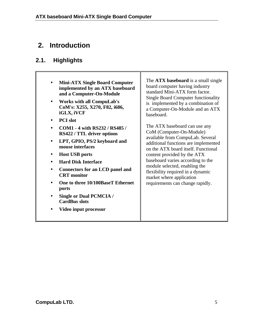# **2. Introduction**

### **2.1. Highlights**

• **Mini-ATX Single Board Computer implemented by an ATX baseboard and a Computer-On-Module** • **Works with all CompuLab's CoM's: X255, X270, F82, i686, iGLX, iVCF** • **PCI slot** • **COM1 - 4 with RS232 / RS485 / RS422 / TTL driver options** • **LPT, GPIO, PS/2 keyboard and mouse interfaces** • **Host USB ports** • **Hard Disk Interface** • **Connectors for an LCD panel and CRT monitor** • **One to three 10/100BaseT Ethernet ports** • **Single or Dual PCMCIA / CardBus slots** • **Video input processor** The **ATX baseboard** is a small single board computer having industry standard Mini-ATX form factor. Single Board Computer functionality is implemented by a combination of a Computer-On-Module and an ATX baseboard. The ATX baseboard can use any CoM (Computer-On-Module) available from CompuLab. Several additional functions are implemented on the ATX board itself. Functional content provided by the ATX baseboard varies according to the module selected, enabling the flexibility required in a dynamic market where application requirements can change rapidly.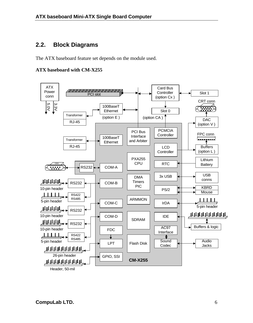#### **2.2. Block Diagrams**

The ATX baseboard feature set depends on the module used.

#### **ATX baseboard with CM-X255**

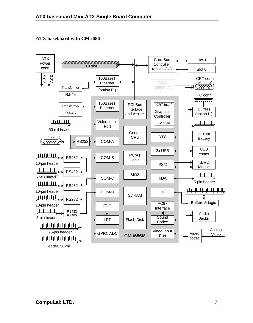#### **ATX baseboard with CM-i686**

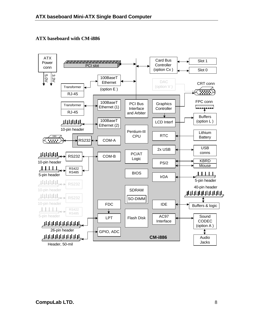#### **ATX baseboard with CM-i886**

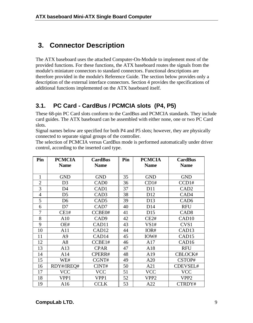# **3. Connector Description**

The ATX baseboard uses the attached Computer-On-Module to implement most of the provided functions. For these functions, the ATX baseboard routes the signals from the module's miniature connectors to standard connectors. Functional descriptions are therefore provided in the module's Reference Guide. The section below provides only a description of the external interface connectors. Section 4 provides the specifications of additional functions implemented on the ATX baseboard itself.

### **3.1. PC Card - CardBus / PCMCIA slots (P4, P5)**

These 68-pin PC Card slots conform to the CardBus and PCMCIA standards. They include card guides. The ATX baseboard can be assembled with either none, one or two PC Card slots.

Signal names below are specified for both P4 and P5 slots; however, they are physically connected to separate signal groups of the controller.

The selection of PCMCIA versus CardBus mode is performed automatically under driver control, according to the inserted card type.

| Pin            | <b>PCMCIA</b>  | <b>CardBus</b>    | Pin | <b>PCMCIA</b>    | <b>CardBus</b>    |
|----------------|----------------|-------------------|-----|------------------|-------------------|
|                | <b>Name</b>    | <b>Name</b>       |     | <b>Name</b>      | <b>Name</b>       |
| 1              | <b>GND</b>     | <b>GND</b>        | 35  | <b>GND</b>       | <b>GND</b>        |
| $\overline{2}$ | D <sub>3</sub> | CAD <sub>0</sub>  | 36  | CD1#             | CCD1#             |
| 3              | D <sub>4</sub> | CAD <sub>1</sub>  | 37  | D11              | CAD <sub>2</sub>  |
| $\overline{4}$ | D <sub>5</sub> | CAD <sub>3</sub>  | 38  | D <sub>12</sub>  | CAD <sub>4</sub>  |
| 5              | D <sub>6</sub> | CAD <sub>5</sub>  | 39  | D <sub>13</sub>  | CAD <sub>6</sub>  |
| 6              | D7             | CAD7              | 40  | D14              | <b>RFU</b>        |
| 7              | CE1#           | CCBE0#            | 41  | D15              | CAD <sub>8</sub>  |
| 8              | A10            | CAD <sub>9</sub>  | 42  | CE2#             | CAD <sub>10</sub> |
| 9              | OE#            | CAD <sub>11</sub> | 43  | VS1#             | CVS <sub>1</sub>  |
| 10             | A11            | CAD <sub>12</sub> | 44  | IOR#             | CAD <sub>13</sub> |
| 11             | A9             | CAD <sub>14</sub> | 45  | IOW#             | CAD <sub>15</sub> |
| 12             | A8             | CCBE1#            | 46  | A17              | CAD <sub>16</sub> |
| 13             | A13            | <b>CPAR</b>       | 47  | A18              | <b>RFU</b>        |
| 14             | A14            | CPERR#            | 48  | A19              | CBLOCK#           |
| 15             | WE#            | CGNT#             | 49  | A20              | CSTOP#            |
| 16             | RDY#/IREQ#     | CINT#             | 50  | A21              | CDEVSEL#          |
| 17             | <b>VCC</b>     | <b>VCC</b>        | 51  | <b>VCC</b>       | <b>VCC</b>        |
| 18             | VPP1           | VPP <sub>1</sub>  | 52  | VPP <sub>2</sub> | VPP <sub>2</sub>  |
| 19             | A $16$         | <b>CCLK</b>       | 53  | A22              | CTRDY#            |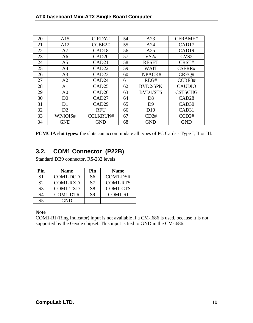| 20 | A15            | CIRDY#            | 54 | A23             | CFRAME#           |
|----|----------------|-------------------|----|-----------------|-------------------|
| 21 | A12            | CCBE2#            | 55 | A <sub>24</sub> | CAD <sub>17</sub> |
| 22 | A7             | CAD <sub>18</sub> | 56 | A25             | CAD <sub>19</sub> |
| 23 | A6             | CAD <sub>20</sub> | 57 | VS2#            | CVS <sub>2</sub>  |
| 24 | A5             | CAD <sub>21</sub> | 58 | <b>RESET</b>    | CRST#             |
| 25 | A4             | CAD <sub>22</sub> | 59 | <b>WAIT</b>     | CSERR#            |
| 26 | A <sub>3</sub> | CAD23             | 60 | <b>INPACK#</b>  | CREQ#             |
| 27 | A <sub>2</sub> | CAD <sub>24</sub> | 61 | REG#            | CCBE3#            |
| 28 | A <sub>1</sub> | CAD25             | 62 | <b>BVD2/SPK</b> | <b>CAUDIO</b>     |
| 29 | A <sub>0</sub> | CAD <sub>26</sub> | 63 | <b>BVD1/STS</b> | <b>CSTSCHG</b>    |
| 30 | D <sub>0</sub> | CAD <sub>27</sub> | 64 | D <sub>8</sub>  | CAD <sub>28</sub> |
| 31 | D1             | CAD <sub>29</sub> | 65 | D <sub>9</sub>  | CAD30             |
| 32 | D <sub>2</sub> | <b>RFU</b>        | 66 | D10             | CAD <sub>31</sub> |
| 33 | WP/IOIS#       | <b>CCLKRUN#</b>   | 67 | CD2#            | CCD2#             |
| 34 | <b>GND</b>     | <b>GND</b>        | 68 | <b>GND</b>      | <b>GND</b>        |

**PCMCIA slot types:** the slots can accommodate all types of PC Cards - Type I, II or III.

#### **3.2. COM1 Connector (P22B)**

Standard DB9 connector, RS-232 levels

| Pin            | <b>Name</b> | Pin            | <b>Name</b> |
|----------------|-------------|----------------|-------------|
| S1             | COM1-DCD    | S6             | COM1-DSR    |
| S <sub>2</sub> | $COM1-RXD$  | S7             | COM1-RTS    |
| S <sub>3</sub> | COM1-TXD    | S <sub>8</sub> | COM1-CTS    |
| S4             | COM1-DTR    | <b>S9</b>      | COM1-RI     |
| S <sub>5</sub> | GND         |                |             |

**Note**

COM1-RI (Ring Indicator) input is not available if a CM-i686 is used, because it is not supported by the Geode chipset. This input is tied to GND in the CM-i686.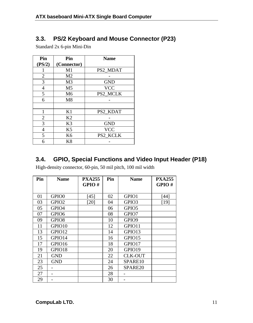### **3.3. PS/2 Keyboard and Mouse Connector (P23)**

Standard 2x 6-pin Mini-Din

| Pin            | Pin            | <b>Name</b>     |
|----------------|----------------|-----------------|
| (PS/2)         | (Connector)    |                 |
|                | M1             | PS2_MDAT        |
| 2              | M <sub>2</sub> |                 |
| 3              | M <sub>3</sub> | <b>GND</b>      |
| 4              | M <sub>5</sub> | <b>VCC</b>      |
| 5              | M <sub>6</sub> | PS2_MCLK        |
| 6              | M8             |                 |
|                |                |                 |
| 1              | K1             | PS2_KDAT        |
| $\overline{2}$ | K <sub>2</sub> |                 |
| 3              | K3             | <b>GND</b>      |
| 4              | K <sub>5</sub> | <b>VCC</b>      |
| 5              | K6             | <b>PS2 KCLK</b> |
| 6              | K8             |                 |

#### **3.4. GPIO, Special Functions and Video Input Header (P18)**

High-density connector, 60-pin, 50 mil pitch, 100 mil width

| Pin | <b>Name</b>        | <b>PXA255</b> | Pin | <b>Name</b>         | <b>PXA255</b> |
|-----|--------------------|---------------|-----|---------------------|---------------|
|     |                    | GPIO#         |     |                     | GPIO#         |
|     |                    |               |     |                     |               |
| 01  | GPIO <sub>0</sub>  | [45]          | 02  | GPIO1               | [44]          |
| 03  | GPIO <sub>2</sub>  | [20]          | 04  | GPIO3               | $[19]$        |
| 05  | GPIO <sub>4</sub>  |               | 06  | GPIO <sub>5</sub>   |               |
| 07  | GPIO <sub>6</sub>  |               | 08  | GPIO7               |               |
| 09  | GPIO <sub>8</sub>  |               | 10  | GPIO9               |               |
| 11  | GPIO <sub>10</sub> |               | 12  | GPIO11              |               |
| 13  | GPIO12             |               | 14  | GPIO13              |               |
| 15  | GPIO14             |               | 16  | GPIO15              |               |
| 17  | GPIO16             |               | 18  | GPIO17              |               |
| 19  | GPIO18             |               | 20  | GPIO19              |               |
| 21  | <b>GND</b>         |               | 22  | <b>CLK-OUT</b>      |               |
| 23  | <b>GND</b>         |               | 24  | SPARE <sub>10</sub> |               |
| 25  |                    |               | 26  | SPARE <sub>20</sub> |               |
| 27  |                    |               | 28  |                     |               |
| 29  |                    |               | 30  |                     |               |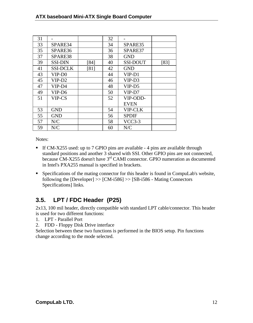| 31 |                     |      | 32 |                 |      |
|----|---------------------|------|----|-----------------|------|
| 33 | SPARE34             |      | 34 | SPARE35         |      |
| 35 | SPARE <sub>36</sub> |      | 36 | SPARE37         |      |
| 37 | SPARE38             |      | 38 | <b>GND</b>      |      |
| 39 | <b>SSI-DIN</b>      | [84] | 40 | <b>SSI-DOUT</b> | [83] |
| 41 | <b>SSI-DCLK</b>     | [81] | 42 | <b>GND</b>      |      |
| 43 | VIP-D <sub>0</sub>  |      | 44 | VIP-D1          |      |
| 45 | VIP-D2              |      | 46 | $VIP-D3$        |      |
| 47 | VIP-D4              |      | 48 | VIP-D5          |      |
| 49 | VIP-D6              |      | 50 | VIP-D7          |      |
| 51 | VIP-CS              |      | 52 | VIP-ODD-        |      |
|    |                     |      |    | <b>EVEN</b>     |      |
| 53 | <b>GND</b>          |      | 54 | <b>VIP-CLK</b>  |      |
| 55 | <b>GND</b>          |      | 56 | <b>SPDIF</b>    |      |
| 57 | N/C                 |      | 58 | $VCC3-3$        |      |
| 59 | N/C                 |      | 60 | N/C             |      |

Notes:

- **F** If CM-X255 used: up to 7 GPIO pins are available 4 pins are available through standard positions and another 3 shared with SSI. Other GPIO pins are not connected, because CM-X255 doesn't have 3rd CAMI connector. GPIO numeration as documented in Intel's PXA255 manual is specified in brackets.
- **Specifications of the mating connector for this header is found in CompuLab's website,** following the [Developer] >> [CM-i586] >> [SB-i586 - Mating Connectors Specifications] links.

### **3.5. LPT / FDC Header (P25)**

2x13, 100 mil header, directly compatible with standard LPT cable/connector. This header is used for two different functions:

- 1. LPT Parallel Port
- 2. FDD Floppy Disk Drive interface

Selection between these two functions is performed in the BIOS setup. Pin functions change according to the mode selected.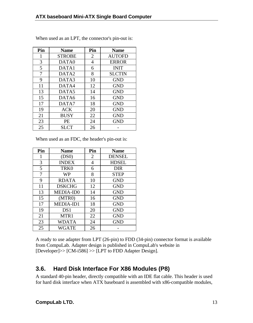| Pin | <b>Name</b>       | Pin | <b>Name</b>   |
|-----|-------------------|-----|---------------|
| 1   | <b>STROBE</b>     | 2   | <b>AUTOFD</b> |
| 3   | DATA0             | 4   | <b>ERROR</b>  |
| 5   | DATA1             | 6   | <b>INIT</b>   |
| 7   | DATA <sub>2</sub> | 8   | <b>SLCTIN</b> |
| 9   | DATA3             | 10  | <b>GND</b>    |
| 11  | DATA4             | 12  | <b>GND</b>    |
| 13  | DATA5             | 14  | <b>GND</b>    |
| 15  | DATA6             | 16  | <b>GND</b>    |
| 17  | DATA7             | 18  | <b>GND</b>    |
| 19  | <b>ACK</b>        | 20  | GND           |
| 21  | <b>BUSY</b>       | 22  | <b>GND</b>    |
| 23  | PE                | 24  | <b>GND</b>    |
| 25  | <b>SLCT</b>       | 26  |               |

When used as an LPT, the connector's pin-out is:

When used as an FDC, the header's pin-out is:

| Pin | <b>Name</b>           | Pin | <b>Name</b>   |
|-----|-----------------------|-----|---------------|
| 1   | (DS0)                 | 2   | <b>DENSEL</b> |
| 3   | <b>INDEX</b>          | 4   | <b>HDSEL</b>  |
| 5   | TRK <sub>0</sub>      | 6   | <b>DIR</b>    |
| 7   | <b>WP</b>             | 8   | <b>STEP</b>   |
| 9   | <b>RDATA</b>          | 10  | <b>GND</b>    |
| 11  | <b>DSKCHG</b>         | 12  | GND           |
| 13  | MEDIA-ID <sub>0</sub> | 14  | GND           |
| 15  | (MTR0)                | 16  | <b>GND</b>    |
| 17  | <b>MEDIA-ID1</b>      | 18  | <b>GND</b>    |
| 19  | DS <sub>1</sub>       | 20  | GND           |
| 21  | MTR <sub>1</sub>      | 22  | <b>GND</b>    |
| 23  | <b>WDATA</b>          | 24  | <b>GND</b>    |
| 25  | WGATE                 | 26  |               |

A ready to use adapter from LPT (26-pin) to FDD (34-pin) connector format is available from CompuLab. Adapter design is published in CompuLab's website in [Developer]>> [CM-i586] >> [LPT to FDD Adapter Design].

### **3.6. Hard Disk Interface For X86 Modules (P8)**

A standard 40-pin header, directly compatible with an IDE flat cable. This header is used for hard disk interface when ATX baseboard is assembled with x86-compatible modules,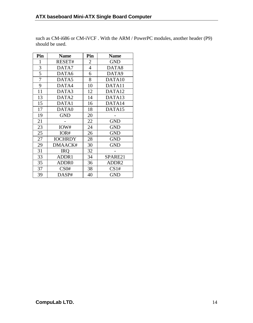such as CM-i686 or CM-iVCF . With the ARM / PowerPC modules, another header (P9) should be used.

| Pin | <b>Name</b>       | Pin | <b>Name</b>        |
|-----|-------------------|-----|--------------------|
| 1   | RESET#            | 2   | GND                |
| 3   | DATA7             | 4   | DATA8              |
| 5   | DATA6             | 6   | DATA9              |
| 7   | DATA5             | 8   | DATA10             |
| 9   | DATA4             | 10  | DATA <sub>11</sub> |
| 11  | DATA3             | 12  | DATA <sub>12</sub> |
| 13  | DATA <sub>2</sub> | 14  | DATA13             |
| 15  | DATA1             | 16  | DATA14             |
| 17  | DATA0             | 18  | DATA <sub>15</sub> |
| 19  | <b>GND</b>        | 20  |                    |
| 21  |                   | 22  | GND                |
| 23  | IOW#              | 24  | GND                |
| 25  | IOR#              | 26  | GND                |
| 27  | <b>IOCHRDY</b>    | 28  | GND                |
| 29  | DMAACK#           | 30  | <b>GND</b>         |
| 31  | <b>IRO</b>        | 32  |                    |
| 33  | ADDR1             | 34  | SPARE21            |
| 35  | ADDR <sub>0</sub> | 36  | ADDR <sub>2</sub>  |
| 37  | CS <sub>0#</sub>  | 38  | CS1#               |
| 39  | DASP#             | 40  | GND                |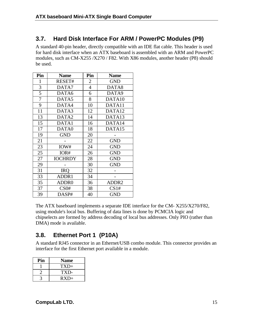### **3.7. Hard Disk Interface For ARM / PowerPC Modules (P9)**

A standard 40-pin header, directly compatible with an IDE flat cable. This header is used for hard disk interface when an ATX baseboard is assembled with an ARM and PowerPC modules, such as CM-X255 /X270 / F82. With X86 modules, another header (P8) should be used.

| Pin | <b>Name</b>       | Pin | <b>Name</b>        |
|-----|-------------------|-----|--------------------|
| 1   | RESET#            | 2   | GND                |
| 3   | DATA7             | 4   | DATA8              |
| 5   | DATA6             | 6   | DATA9              |
| 7   | DATA5             | 8   | DATA <sub>10</sub> |
| 9   | DATA4             | 10  | DATA <sub>11</sub> |
| 11  | DATA3             | 12  | DATA <sub>12</sub> |
| 13  | DATA <sub>2</sub> | 14  | DATA <sub>13</sub> |
| 15  | DATA1             | 16  | DATA <sub>14</sub> |
| 17  | DATA0             | 18  | DATA <sub>15</sub> |
| 19  | <b>GND</b>        | 20  |                    |
| 21  |                   | 22  | <b>GND</b>         |
| 23  | IOW#              | 24  | <b>GND</b>         |
| 25  | IOR#              | 26  | <b>GND</b>         |
| 27  | <b>IOCHRDY</b>    | 28  | <b>GND</b>         |
| 29  |                   | 30  | <b>GND</b>         |
| 31  | <b>IRO</b>        | 32  |                    |
| 33  | ADDR1             | 34  |                    |
| 35  | ADDR0             | 36  | ADDR2              |
| 37  | CS0#              | 38  | CS1#               |
| 39  | DASP#             | 40  | GND                |

The ATX baseboard implements a separate IDE interface for the CM- X255/X270/F82, using module's local bus. Buffering of data lines is done by PCMCIA logic and chipselects are formed by address decoding of local bus addresses. Only PIO (rather than DMA) mode is available.

### **3.8. Ethernet Port 1 (P10A)**

A standard RJ45 connector in an Ethernet/USB combo module. This connector provides an interface for the first Ethernet port available in a module.

| Pin | <b>Name</b> |
|-----|-------------|
|     | $TXD+$      |
|     | TXD-        |
|     | $RXD+$      |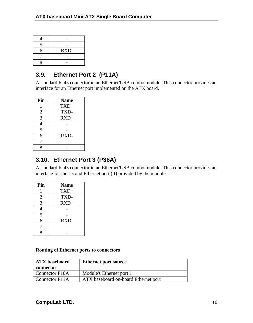| RXD- |
|------|
|      |
|      |

### **3.9. Ethernet Port 2 (P11A)**

A standard RJ45 connector in an Ethernet/USB combo module. This connector provides an interface for an Ethernet port implemented on the ATX board.

| Pin            | <b>Name</b> |
|----------------|-------------|
|                | $TXD+$      |
| $\overline{2}$ | TXD-        |
| 3              | $RXD+$      |
| 4              |             |
| 5              |             |
| 6              | RXD-        |
|                |             |
|                |             |

### **3.10. Et**h**ernet Port 3 (P36A)**

A standard RJ45 connector in an Ethernet/USB combo module. This connector provides an interface for the second Ethernet port (if) provided by the module.

| Pin | <b>Name</b> |
|-----|-------------|
|     | TXD+        |
| 2   | TXD-        |
| 3   | $RXD+$      |
|     |             |
| 5   |             |
| 6   | RXD-        |
|     |             |
|     |             |

#### **Routing of Ethernet ports to connectors**

| <b>ATX</b> baseboard | <b>Ethernet port source</b>          |  |  |
|----------------------|--------------------------------------|--|--|
| connector            |                                      |  |  |
| Connector P10A       | Module's Ethernet port 1             |  |  |
| Connector P11A       | ATX baseboard on-board Ethernet port |  |  |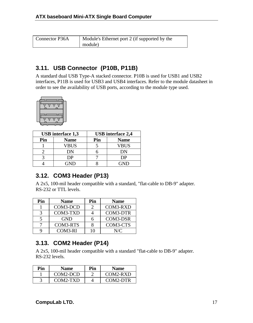| Connector P36A | Module's Ethernet port 2 (if supported by the |
|----------------|-----------------------------------------------|
|                | module)                                       |

### **3.11. USB Connector (P10B, P11B)**

A standard dual USB Type-A stacked connector. P10B is used for USB1 and USB2 interfaces, P11B is used for USB3 and USB4 interfaces. Refer to the module datasheet in order to see the availability of USB ports, according to the module type used.



| <b>USB</b> interface 1,3 |             | <b>USB</b> interface 2,4 |             |
|--------------------------|-------------|--------------------------|-------------|
| Pin                      | <b>Name</b> | Pin                      | Name        |
|                          | VBUS        |                          | VBUS        |
|                          | DΝ          |                          | DN          |
|                          | DР          |                          | DР          |
|                          | $\sqrt{N}$  |                          | <b>GINE</b> |

### **3.12. COM3 Header (P13)**

A 2x5, 100-mil header compatible with a standard, "flat-cable to DB-9" adapter. RS-232 or TTL levels.

| Pin | <b>Name</b> | Pin | <b>Name</b> |
|-----|-------------|-----|-------------|
|     | COM3-DCD    |     | COM3-RXD    |
|     | COM3-TXD    |     | COM3-DTR    |
|     | GND         |     | COM3-DSR    |
|     | COM3-RTS    |     | COM3-CTS    |
|     | COM3-RI     |     | N/C         |

### **3.13. COM2 Header (P14)**

A 2x5, 100-mil header compatible with a standard "flat-cable to DB-9" adapter. RS-232 levels.

| Pin | Name     | Pin | <b>Name</b> |
|-----|----------|-----|-------------|
|     | COM2-DCD |     | COM2-RXD    |
|     | COM2-TXD |     | COM2-DTR    |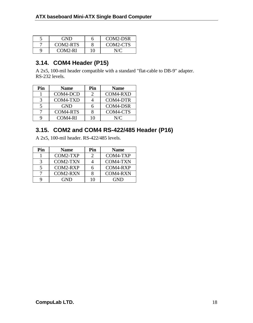| <b>GND</b> | COM2-DSR |
|------------|----------|
| COM2-RTS   | COM2-CTS |
| $COM2-RI$  |          |

#### **3.14. COM4 Header (P15)**

A 2x5, 100-mil header compatible with a standard "flat-cable to DB-9" adapter. RS-232 levels.

| Pin | <b>Name</b> | Pin | <b>Name</b> |
|-----|-------------|-----|-------------|
|     | COM4-DCD    |     | COM4-RXD    |
|     | COM4-TXD    |     | COM4-DTR    |
|     | <b>GND</b>  |     | COM4-DSR    |
|     | COM4-RTS    |     | COM4-CTS    |
|     | COM4-RI     | 10  | N/C         |

### **3.15. COM2 and COM4 RS-422/485 Header (P16)**

A 2x5, 100-mil header. RS-422/485 levels.

| Pin | Name     | Pin | <b>Name</b> |
|-----|----------|-----|-------------|
|     | COM2-TXP |     | COM4-TXP    |
|     | COM2-TXN |     | COM4-TXN    |
|     | COM2-RXP |     | COM4-RXP    |
|     | COM2-RXN |     | COM4-RXN    |
|     | GND      |     | GND         |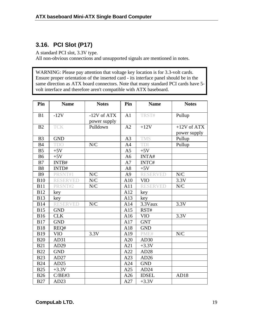### **3.16. PCI Slot (P17)**

A standard PCI slot, 3.3V type.

All non-obvious connections and unsupported signals are mentioned in notes.

WARNING: Please pay attention that voltage key location is for 3.3-volt cards. Ensure proper orientation of the inserted card - its interface panel should be in the same direction as ATX board connectors. Note that many standard PCI cards have 5volt interface and therefore aren't compatible with ATX baseboard.

| Pin            | <b>Name</b>      | <b>Notes</b>                | Pin            | <b>Name</b>      | <b>Notes</b>                  |
|----------------|------------------|-----------------------------|----------------|------------------|-------------------------------|
| B1             | $-12V$           | -12V of ATX<br>power supply | A1             | TRST#            | Pullup                        |
| B <sub>2</sub> | <b>TCK</b>       | Pulldown                    | A2             | $+12V$           | $+12V$ of ATX<br>power supply |
| B <sub>3</sub> | <b>GND</b>       |                             | A3             | <b>TMS</b>       | Pullup                        |
| <b>B4</b>      | <b>TDO</b>       | N/C                         | A4             | <b>TDI</b>       | Pullup                        |
| B <sub>5</sub> | $+5V$            |                             | A <sub>5</sub> | $+5V$            |                               |
| <b>B6</b>      | $+5V$            |                             | A6             | INTA#            |                               |
| B7             | INTB#            |                             | A7             | INTC#            |                               |
| <b>B8</b>      | INTD#            |                             | A8             | $+5V$            |                               |
| <b>B</b> 9     | PRSNT#1          | N/C                         | A9             | <b>RESERVED</b>  | N/C                           |
| <b>B10</b>     | <b>RESERVED</b>  | N/C                         | A10            | <b>VIO</b>       | 3.3V                          |
| <b>B11</b>     | PRSNT#2          | N/C                         | A11            | <b>RESERVED</b>  | N/C                           |
| <b>B12</b>     | key              |                             | A12            | key              |                               |
| <b>B13</b>     | key              |                             | A13            | key              |                               |
| <b>B14</b>     | <b>RESERVED</b>  | N/C                         | A14            | 3.3Vaux          | 3.3V                          |
| <b>B15</b>     | <b>GND</b>       |                             | A15            | RST#             |                               |
| <b>B16</b>     | <b>CLK</b>       |                             | A16            | <b>VIO</b>       | 3.3V                          |
| <b>B17</b>     | <b>GND</b>       |                             | A17            | <b>GNT</b>       |                               |
| <b>B18</b>     | REQ#             |                             | A18            | <b>GND</b>       |                               |
| <b>B19</b>     | <b>VIO</b>       | 3.3V                        | A19            | PME#             | N/C                           |
| <b>B20</b>     | AD31             |                             | A20            | AD30             |                               |
| <b>B21</b>     | AD <sub>29</sub> |                             | A21            | $+3.3V$          |                               |
| <b>B22</b>     | <b>GND</b>       |                             | A22            | AD <sub>28</sub> |                               |
| <b>B23</b>     | AD27             |                             | A23            | AD26             |                               |
| <b>B24</b>     | AD25             |                             | A24            | <b>GND</b>       |                               |
| <b>B25</b>     | $+3.3V$          |                             | A25            | AD24             |                               |
| <b>B26</b>     | C/BE#3           |                             | A26            | <b>IDSEL</b>     | AD <sub>18</sub>              |
| <b>B27</b>     | AD23             |                             | A27            | $+3.3V$          |                               |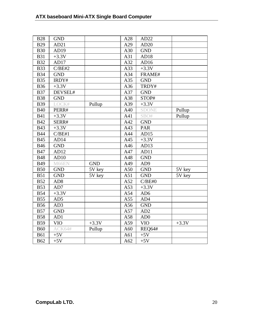| <b>B28</b>       | <b>GND</b>       |            | A28              | AD22            |         |
|------------------|------------------|------------|------------------|-----------------|---------|
| <b>B29</b>       | AD21             |            | A29              | AD20            |         |
| <b>B30</b>       | AD <sub>19</sub> |            | A30              | <b>GND</b>      |         |
| <b>B31</b>       | $+3.3V$          |            | A31              | AD18            |         |
| <b>B32</b>       | AD17             |            | A32              | AD16            |         |
| <b>B33</b>       | C/BE#2           |            | A33              | $+3.3V$         |         |
| <b>B34</b>       | <b>GND</b>       |            | A34              | FRAME#          |         |
| <b>B35</b>       | IRDY#            |            | A35              | <b>GND</b>      |         |
| <b>B36</b>       | $+3.3V$          |            | A36              | TRDY#           |         |
| $\overline{B37}$ | DEVSEL#          |            | A37              | <b>GND</b>      |         |
| <b>B38</b>       | <b>GND</b>       |            | A38              | STOP#           |         |
| <b>B39</b>       | LOCK#            | Pullup     | $\overline{A39}$ | $+3.3V$         |         |
| <b>B40</b>       | PERR#            |            | A40              | <b>SDONE</b>    | Pullup  |
| B <sub>41</sub>  | $+3.3V$          |            | A41              | SBO#            | Pullup  |
| <b>B42</b>       | SERR#            |            | A42              | <b>GND</b>      |         |
| <b>B43</b>       | $+3.3V$          |            | A43              | <b>PAR</b>      |         |
| <b>B44</b>       | C/BE#1           |            | A44              | AD15            |         |
| <b>B45</b>       | AD14             |            | A45              | $+3.3V$         |         |
| <b>B46</b>       | <b>GND</b>       |            | A46              | AD13            |         |
| <b>B47</b>       | AD12             |            | A47              | AD11            |         |
| <b>B48</b>       | AD10             |            | A48              | <b>GND</b>      |         |
| <b>B49</b>       | M66EN            | <b>GND</b> | A49              | AD <sub>9</sub> |         |
| <b>B50</b>       | <b>GND</b>       | 5V key     | A50              | <b>GND</b>      | 5V key  |
| <b>B51</b>       | <b>GND</b>       | 5V key     | A51              | <b>GND</b>      | 5V key  |
| <b>B52</b>       | AD <sub>8</sub>  |            | A52              | C/BE#0          |         |
| <b>B53</b>       | AD7              |            | A53              | $+3.3V$         |         |
| <b>B54</b>       | $+3.3V$          |            | A54              | AD <sub>6</sub> |         |
| <b>B55</b>       | AD5              |            | A55              | AD4             |         |
| <b>B56</b>       | AD3              |            | A56              | <b>GND</b>      |         |
| <b>B57</b>       | <b>GND</b>       |            | A57              | AD <sub>2</sub> |         |
| <b>B58</b>       | AD1              |            | A58              | AD <sub>0</sub> |         |
| <b>B59</b>       | <b>VIO</b>       | $+3.3V$    | A59              | <b>VIO</b>      | $+3.3V$ |
| <b>B60</b>       | ACK64#           | Pullup     | A60              | REQ64#          |         |
| <b>B61</b>       | $+5V$            |            | A61              | $+5V$           |         |
| <b>B62</b>       | $+5V$            |            | A62              | $+5V$           |         |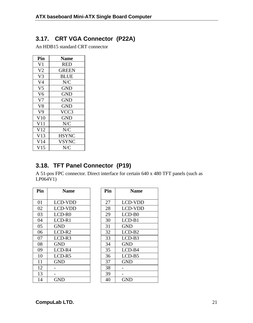### **3.17. CRT VGA Connector (P22A)**

An HDB15 standard CRT connector

| Pin             | <b>Name</b>  |
|-----------------|--------------|
| V <sub>1</sub>  | <b>RED</b>   |
| V <sub>2</sub>  | <b>GREEN</b> |
| V3              | <b>BLUE</b>  |
| V <sub>4</sub>  | N/C          |
| V5              | GND          |
| V6              | GND          |
| V <sub>7</sub>  | GND          |
| V8              | <b>GND</b>   |
| V <sub>9</sub>  | VCC3         |
| V10             | GND          |
| V11             | N/C          |
| V <sub>12</sub> | N/C          |
| V13             | <b>HSYNC</b> |
| V14             | VSYNC        |
| V15             | N/C          |

### **3.18. TFT Panel Connector (P19)**

A 51-pos FPC connector. Direct interface for certain 640 x 480 TFT panels (such as  $LP064V1$ )

| Pin | <b>Name</b>    | Pin | <b>Name</b>    |
|-----|----------------|-----|----------------|
| 01  | <b>LCD-VDD</b> | 27  | <b>LCD-VDD</b> |
| 02  | LCD-VDD        | 28  | <b>LCD-VDD</b> |
| 03  | $LCD-R0$       | 29  | $LCD-BO$       |
| 04  | $LCD-R1$       | 30  | $LCD-B1$       |
| 05  | <b>GND</b>     | 31  | <b>GND</b>     |
| 06  | $LCD-R2$       | 32  | $LCD-B2$       |
| 07  | $LCD-R3$       | 33  | $LCD-B3$       |
| 08  | <b>GND</b>     | 34  | <b>GND</b>     |
| 09  | LCD-R4         | 35  | LCD-B4         |
| 10  | $LCD-R5$       | 36  | $LCD-B5$       |
| 11  | <b>GND</b>     | 37  | <b>GND</b>     |
| 12  |                | 38  |                |
| 13  |                | 39  |                |
| 14  | <b>GND</b>     | 40  | <b>GND</b>     |

| Pin | <b>Name</b>    |
|-----|----------------|
| 27  | <b>LCD-VDD</b> |
| 28  | LCD-VDD        |
| 29  | $LCD-BO$       |
| 30  | $LCD-B1$       |
| 31  | <b>GND</b>     |
| 32  | $LCD-B2$       |
| 33  | $LCD-B3$       |
| 34  | <b>GND</b>     |
| 35  | LCD-B4         |
| 36  | $LCD-B5$       |
| 37  | <b>GND</b>     |
| 38  |                |
| 39  |                |
| 40  | GND            |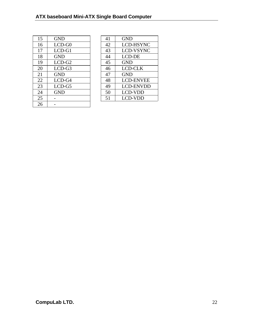#### **ATX baseboard Mini-ATX Single Board Computer**

| 15 | <b>GND</b> | 41 | <b>GND</b>       |
|----|------------|----|------------------|
| 16 | $LCD-G0$   | 42 | LCD-HSYNC        |
| 17 | $LCD-G1$   | 43 | <b>LCD-VSYNC</b> |
| 18 | <b>GND</b> | 44 | LCD-DE           |
| 19 | $LCD-G2$   | 45 | <b>GND</b>       |
| 20 | $LCD-G3$   | 46 | LCD-CLK          |
| 21 | <b>GND</b> | 47 | <b>GND</b>       |
| 22 | $LCD-G4$   | 48 | <b>LCD-ENVEE</b> |
| 23 | $LCD-G5$   | 49 | LCD-ENVDD        |
| 24 | <b>GND</b> | 50 | <b>LCD-VDD</b>   |
| 25 |            | 51 | LCD-VDD          |
| 26 |            |    |                  |

| 41 | GND              |
|----|------------------|
| 42 | <b>LCD-HSYNC</b> |
| 43 | <b>LCD-VSYNC</b> |
| 44 | <b>LCD-DE</b>    |
| 45 | GND              |
| 46 | LCD-CLK          |
| 47 | <b>GND</b>       |
| 48 | <b>LCD-ENVEE</b> |
| 49 | <b>LCD-ENVDD</b> |
| 50 | <b>LCD-VDD</b>   |
| 51 | LCD-VDD          |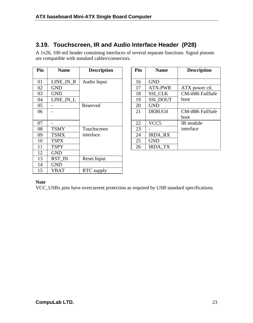### **3.19. Touchscreen, IR and Audio Interface Header (P28)**

A 1x26, 100 mil header containing interfaces of several separate functions. Signal pinouts are compatible with standard cables/connectors.

| Pin | <b>Name</b> | <b>Description</b> | Pin | <b>Name</b>      | <b>Description</b> |
|-----|-------------|--------------------|-----|------------------|--------------------|
| 01  | LINE IN R   | Audio Input        | 16  | <b>GND</b>       |                    |
| 02  | <b>GND</b>  |                    | 17  | <b>ATX-PWR</b>   | ATX power ctl.     |
| 03  | <b>GND</b>  |                    | 18  | <b>SSI CLK</b>   | CM-i686 FailSa     |
| 04  | LINE IN L   |                    | 19  | <b>SSI DOUT</b>  | boot               |
| 05  |             | Reserved           | 20  | <b>GND</b>       |                    |
| 06  |             |                    | 21  | DEBUG0           | CM-i886 FailSa     |
|     |             |                    |     |                  | boot               |
| 07  |             |                    | 22  | VCC <sub>5</sub> | IR module          |
| 08  | <b>TSMY</b> | Touchscreen        | 23  |                  | interface          |
| 09  | TSMX        | interface          | 24  | <b>IRDA RX</b>   |                    |
| 10  | TSPX        |                    | 25  | <b>GND</b>       |                    |
| 11  | TSPY        |                    | 26  | <b>IRDA TX</b>   |                    |
| 12  | <b>GND</b>  |                    |     |                  |                    |
| 13  | RST IN      | Reset Input        |     |                  |                    |
| 14  | GND         |                    |     |                  |                    |
| 15  | VBAT        | RTC supply         |     |                  |                    |

| Pin             | <b>Name</b> | <b>Description</b> | Pin | <b>Name</b>      | <b>Description</b> |
|-----------------|-------------|--------------------|-----|------------------|--------------------|
|                 |             |                    |     |                  |                    |
| 01              | LINE_IN_R   | Audio Input        | 16  | <b>GND</b>       |                    |
| 02              | <b>GND</b>  |                    | 17  | <b>ATX-PWR</b>   | ATX power ctl.     |
| 03              | <b>GND</b>  |                    | 18  | <b>SSI CLK</b>   | CM-i686 FailSafe   |
| 04              | LINE_IN_L   |                    | 19  | SSI DOUT         | boot               |
| $\overline{05}$ |             | Reserved           | 20  | <b>GND</b>       |                    |
| 06              |             |                    | 21  | DEBUG0           | CM-i886 FailSafe   |
|                 |             |                    |     |                  | boot               |
| 07              |             |                    | 22  | VCC <sub>5</sub> | IR module          |
| 08              | <b>TSMY</b> | Touchscreen        | 23  |                  | interface          |
| $\overline{09}$ | <b>TSMX</b> | interface          | 24  | <b>IRDA RX</b>   |                    |
| 10              | <b>TSPX</b> |                    | 25  | <b>GND</b>       |                    |
| 11              | <b>TSPY</b> |                    | 26  | <b>IRDA TX</b>   |                    |

#### **Note**

VCC\_USBx pins have overcurrent protection as required by USB standard specifications.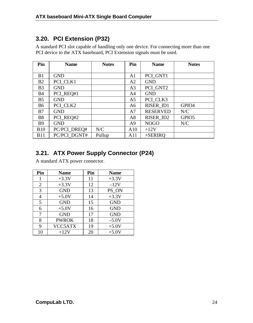### **3.20. PCI Extension (P32)**

A standard PCI slot capable of handling only one device. For connecting more than one PCI device to the ATX baseboard, PCI Extension signals must be used.

| Pin            | <b>Name</b>  | <b>Notes</b> | Pin            | <b>Name</b>     | <b>Notes</b>      |
|----------------|--------------|--------------|----------------|-----------------|-------------------|
|                |              |              |                |                 |                   |
| B <sub>1</sub> | <b>GND</b>   |              | A1             | PCI GNT1        |                   |
| B <sub>2</sub> | PCI CLK1     |              | A2             | <b>GND</b>      |                   |
| B <sub>3</sub> | <b>GND</b>   |              | A <sub>3</sub> | PCI_GNT2        |                   |
| <b>B4</b>      | PCI_REQ#1    |              | A4             | <b>GND</b>      |                   |
| B <sub>5</sub> | <b>GND</b>   |              | A5             | PCI CLK3        |                   |
| B <sub>6</sub> | PCI CLK2     |              | A6             | RISER_ID1       | GPIO <sub>4</sub> |
| B7             | <b>GND</b>   |              | A7             | <b>RESERVED</b> | N/C               |
| <b>B8</b>      | PCI REQ#2    |              | A8             | RISER ID2       | GPIO <sub>5</sub> |
| <b>B</b> 9     | <b>GND</b>   |              | A <sup>9</sup> | <b>NOGO</b>     | N/C               |
| <b>B10</b>     | PC/PCI_DREQ# | N/C          | A10            | $+12V$          |                   |
| <b>B11</b>     | PC/PCI DGNT# | Pullup       | A11            | $+$ SERIRQ      |                   |

### **3.21. ATX Power Supply Connector (P24)**

A standard ATX power connector.

| Pin | <b>Name</b>  | Pin | <b>Name</b> |
|-----|--------------|-----|-------------|
|     | $+3.3V$      | 11  | $+3.3V$     |
| 2   | $+3.3V$      | 12  | $-12V$      |
| 3   | <b>GND</b>   | 13  | PS ON       |
| 4   | $+5.0V$      | 14  | $+3.3V$     |
| 5   | <b>GND</b>   | 15  | <b>GND</b>  |
| 6   | $+5.0V$      | 16  | <b>GND</b>  |
| 7   | <b>GND</b>   | 17  | <b>GND</b>  |
| 8   | <b>PWROK</b> | 18  | $-5.0V$     |
| 9   | VCC5ATX      | 19  | $+5.0V$     |
| 10  | $+12V$       | 20  | $+5.0V$     |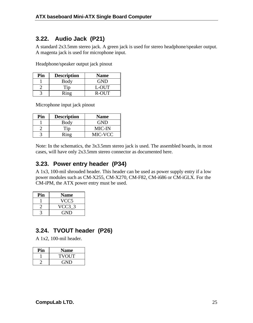### **3.22. Audio Jack (P21)**

A standard 2x3.5mm stereo jack. A green jack is used for stereo headphone/speaker output. A magenta jack is used for microphone input.

Headphone/speaker output jack pinout

| Pin | <b>Description</b> | Name       |
|-----|--------------------|------------|
|     | Body               | <b>GND</b> |
|     | Tin                | L-OUT      |
|     | Ring               | R-OUT      |

Microphone input jack pinout

| Pin | <b>Description</b> | Name       |
|-----|--------------------|------------|
|     | Body               | <b>GND</b> |
|     | Tin                | MIC-IN     |
|     | Ring               | MIC-VCC    |

Note: In the schematics, the 3x3.5mm stereo jack is used. The assembled boards, in most cases, will have only 2x3.5mm stereo connector as documented here.

### **3.23. Power entry header (P34)**

A 1x3, 100-mil shrouded header. This header can be used as power supply entry if a low power modules such as CM-X255, CM-X270, CM-F82, CM-i686 or CM-iGLX. For the CM-iPM, the ATX power entry must be used.

| Pin | <b>Name</b> |  |
|-----|-------------|--|
|     | VC 15       |  |
|     | CC3 -       |  |
|     | <b>GND</b>  |  |

### **3.24. TVOUT header (P26)**

A 1x2, 100-mil header.

| <b>Name</b> |  |
|-------------|--|
| TVOUT       |  |
| GND         |  |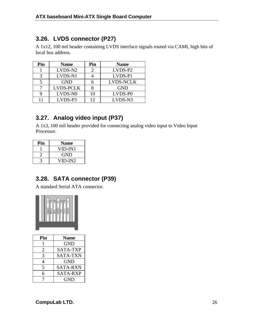### **3.26. LVDS connector (P27)**

A 1x12, 100 mil header containing LVDS interface signals routed via CAMI, high bits of local bus address.

| Pin | Name                | Pin | <b>Name</b>         |
|-----|---------------------|-----|---------------------|
|     | LVDS-N <sub>2</sub> |     | LVDS-P <sub>2</sub> |
|     | LVDS-N1             |     | LVDS-P1             |
|     | <b>GND</b>          |     | <b>LVDS-NCLK</b>    |
|     | LVDS-PCLK           |     | <b>GND</b>          |
|     | LVDS-N <sub>0</sub> | 10  | LVDS-P0             |
|     | LVDS-P3             | 12  | LVDS-N <sub>3</sub> |

### **3.27. Analog video input (P37)**

A 1x3, 100 mil header provided for connecting analog video input to Video Input Processor.

| Pin | <b>Name</b> |  |
|-----|-------------|--|
|     | VID-IN1     |  |
|     | GND         |  |
|     | VID-IN2     |  |

### **3.28. SATA connector (P39)**

A standard Serial ATA connector.



| Pin                      | <b>Name</b>     |  |
|--------------------------|-----------------|--|
|                          | GND             |  |
| $\overline{\mathcal{L}}$ | SATA-TXP        |  |
| 3                        | <b>SATA-TXN</b> |  |
| 4                        | GND             |  |
| 5                        | <b>SATA-RXN</b> |  |
| 6                        | <b>SATA-RXP</b> |  |
|                          | GND             |  |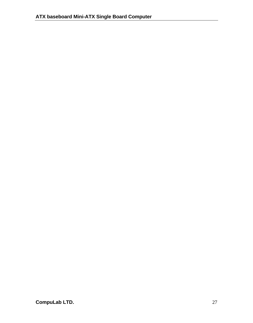**CompuLab LTD.** 27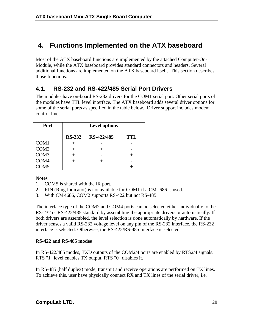# **4. Functions Implemented on the ATX baseboard**

Most of the ATX baseboard functions are implemented by the attached Computer-On-Module, while the ATX baseboard provides standard connectors and headers. Several additional functions are implemented on the ATX baseboard itself. This section describes those functions.

#### **4.1. RS-232 and RS-422/485 Serial Port Drivers**

The modules have on-board RS-232 drivers for the COM1 serial port. Other serial ports of the modules have TTL level interface. The ATX baseboard adds several driver options for some of the serial ports as specified in the table below. Driver support includes modem control lines.

| Port             | <b>Level options</b> |            |            |
|------------------|----------------------|------------|------------|
|                  | <b>RS-232</b>        | RS-422/485 | <b>TTL</b> |
| COM <sub>1</sub> |                      |            |            |
| COM <sub>2</sub> |                      |            |            |
| COM <sub>3</sub> |                      |            |            |
| COM <sub>4</sub> |                      |            |            |
| COM <sub>5</sub> |                      |            |            |

#### **Notes**

- 1. COM5 is shared with the IR port.
- 2. RIN (Ring Indicator) is not available for COM1 if a CM-i686 is used.
- 3. With CM-i686, COM2 supports RS-422 but not RS-485.

The interface type of the COM2 and COM4 ports can be selected either individually to the RS-232 or RS-422/485 standard by assembling the appropriate drivers or automatically. If both drivers are assembled, the level selection is done automatically by hardware. If the driver senses a valid RS-232 voltage level on any pin of the RS-232 interface, the RS-232 interface is selected. Otherwise, the RS-422/RS-485 interface is selected.

#### **RS-422 and RS-485 modes**

In RS-422/485 modes, TXD outputs of the COM2/4 ports are enabled by RTS2/4 signals. RTS "1" level enables TX output, RTS "0" disables it.

In RS-485 (half duplex) mode, transmit and receive operations are performed on TX lines. To achieve this, user have physically connect RX and TX lines of the serial driver, i.e.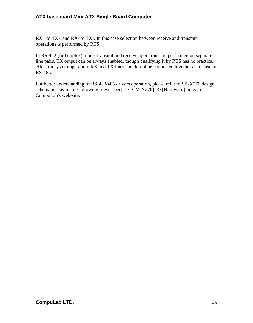RX+ to TX+ and RX- to TX-. In this case selection between receive and transmit operations is performed by RTS.

In RS-422 (full duplex) mode, transmit and receive operations are performed on separate line pairs. TX output can be always enabled, though qualifying it by RTS has no practical effect on system operation. RX and TX lines should not be connected together as in case of RS-485.

For better understanding of RS-422/485 drivers operation, please refer to SB-X270 design schematics, available following [developer] >> [CM-X270] >> [Hardware] links in CompuLab's web-site.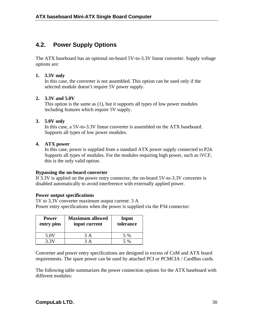#### **4.2. Power Supply Options**

The ATX baseboard has an optional on-board 5V-to-3.3V linear converter. Supply voltage options are:

#### **1. 3.3V only**

In this case, the converter is not assembled. This option can be used only if the selected module doesn't require 5V power supply.

#### **2. 3.3V and 5.0V**

This option is the same as (1), but it supports all types of low power modules including features which require 5V supply.

#### **3. 5.0V only**

In this case, a 5V-to-3.3V linear converter is assembled on the ATX baseboard. Supports all types of low power modules.

#### **4. ATX power**

In this case, power is supplied from a standard ATX power supply connected to P24. Supports all types of modules. For the modules requiring high power, such as iVCF, this is the only valid option.

#### **Bypassing the on-board converter**

If 3.3V is applied on the power entry connector, the on-board 5V-to-3.3V converter is disabled automatically to avoid interference with externally applied power.

#### **Power output specifications**

5V to 3.3V converter maximum output current: 3 A Power entry specifications when the power is supplied via the P34 connector:

| <b>Power</b><br>entry pins | <b>Maximum allowed</b><br>input current | Input<br>tolerance |
|----------------------------|-----------------------------------------|--------------------|
| 5.0V                       | 3 A                                     | 5 %                |
| 3 3 V                      |                                         | ና %                |

Converter and power entry specifications are designed in excess of CoM and ATX board requirements. The spare power can be used by attached PCI or PCMCIA / CardBus cards.

The following table summarizes the power connection options for the ATX baseboard with different modules: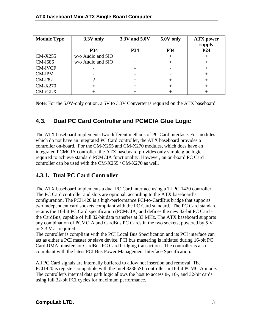| <b>Module Type</b> | 3.3V only         | 3.3V and 5.0V | 5.0V only  | <b>ATX</b> power          |
|--------------------|-------------------|---------------|------------|---------------------------|
|                    | <b>P34</b>        | <b>P34</b>    | <b>P34</b> | supply<br>P <sub>24</sub> |
| $CM-X255$          | w/o Audio and SIO |               |            |                           |
| CM-i686            | w/o Audio and SIO |               |            |                           |
| <b>CM-iVCF</b>     |                   |               |            |                           |
| $CM-iPM$           |                   |               |            |                           |
| $CM-F82$           |                   |               |            |                           |
| <b>CM-X270</b>     |                   |               |            |                           |
| CM-iGLX            |                   |               |            |                           |

**Note**: For the 5.0V-only option, a 5V to 3.3V Converter is required on the ATX baseboard.

### **4.3. Dual PC Card Controller and PCMCIA Glue Logic**

The ATX baseboard implements two different methods of PC Card interface. For modules which do not have an integrated PC Card controller, the ATX baseboard provides a controller on-board. For the CM-X255 and CM-X270 modules, which does have an integrated PCMCIA controller, the ATX baseboard provides only simple glue logic required to achieve standard PCMCIA functionality. However, an on-board PC Card controller can be used with the CM-X255 / CM-X270 as well.

#### **4.3.1. Dual PC Card Controller**

The ATX baseboard implements a dual PC Card interface using a TI PCI1420 controller. The PC Card controller and slots are optional, according to the ATX baseboard's configuration. The PCI1420 is a high-performance PCI-to-CardBus bridge that supports two independent card sockets compliant with the PC Card standard. The PC Card standard retains the 16-bit PC Card specification (PCMCIA) and defines the new 32-bit PC Card the CardBus, capable of full 32-bit data transfers at 33 MHz. The ATX baseboard supports any combination of PCMCIA and CardBus PC Cards in the two sockets, powered by 5 V or 3.3 V as required.

The controller is compliant with the PCI Local Bus Specification and its PCI interface can act as either a PCI master or slave device. PCI bus mastering is initiated during 16-bit PC Card DMA transfers or CardBus PC Card bridging transactions. The controller is also compliant with the latest PCI Bus Power Management Interface Specification.

All PC Card signals are internally buffered to allow hot insertion and removal. The PCI1420 is register-compatible with the Intel 82365SL controller in 16-bit PCMCIA mode. The controller's internal data path logic allows the host to access 8-, 16-, and 32-bit cards using full 32-bit PCI cycles for maximum performance.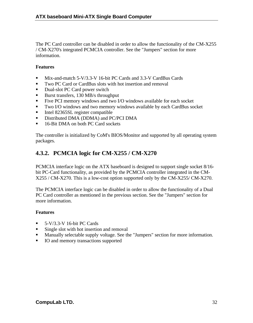The PC Card controller can be disabled in order to allow the functionality of the CM-X255 / CM-X270's integrated PCMCIA controller. See the "Jumpers" section for more information.

#### **Features**

- ß Mix-and-match 5-V/3.3-V 16-bit PC Cards and 3.3-V CardBus Cards
- Two PC Card or CardBus slots with hot insertion and removal
- Dual-slot PC Card power switch
- Burst transfers,  $130 \text{ MB/s}$  throughput
- **Five PCI memory windows and two I/O windows available for each socket**
- ß Two I/O windows and two memory windows available by each CardBus socket
- Intel 82365SL register compatible
- **•** Distributed DMA (DDMA) and PC/PCI DMA
- **B** 16-Bit DMA on both PC Card sockets

The controller is initialized by CoM's BIOS/Monitor and supported by all operating system packages.

#### **4.3.2. PCMCIA logic for CM-X255 / CM-X270**

PCMCIA interface logic on the ATX baseboard is designed to support single socket 8/16 bit PC-Card functionality, as provided by the PCMCIA controller integrated in the CM-X255 / CM-X270. This is a low-cost option supported only by the CM-X255/ CM-X270.

The PCMCIA interface logic can be disabled in order to allow the functionality of a Dual PC Card controller as mentioned in the previous section. See the "Jumpers" section for more information.

#### **Features**

- ß 5-V/3.3-V 16-bit PC Cards
- $\blacksquare$  Single slot with hot insertion and removal
- ß Manually selectable supply voltage. See the "Jumpers" section for more information.
- **ID and memory transactions supported**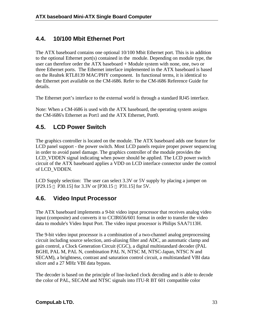### **4.4. 10/100 Mbit Ethernet Port**

The ATX baseboard contains one optional 10/100 Mbit Ethernet port. This is in addition to the optional Ethernet port(s) contained in the module. Depending on module type, the user can therefore order the ATX baseboard + Module system with none, one, two or three Ethernet ports. The Ethernet interface implemented in the ATX baseboard is based on the Realtek RTL8139 MAC/PHY component. In functional terms, it is identical to the Ethernet port available on the CM-i686. Refer to the CM-i686 Reference Guide for details.

The Ethernet port's interface to the external world is through a standard RJ45 interface.

Note: When a CM-i686 is used with the ATX baseboard, the operating system assigns the CM-i686's Ethernet as Port1 and the ATX Ethernet, Port0.

### **4.5. LCD Power Switch**

The graphics controller is located on the module. The ATX baseboard adds one feature for LCD panel support - the power switch. Most LCD panels require proper power sequencing in order to avoid panel damage. The graphics controller of the module provides the LCD\_VDDEN signal indicating when power should be applied. The LCD power switch circuit of the ATX baseboard applies a VDD on LCD interface connector under the control of LCD\_VDDEN.

LCD Supply selection: The user can select 3.3V or 5V supply by placing a jumper on [P29.15 – P30.15] for 3.3V or [P30.15 – P31.15] for 5V.

### **4.6. Video Input Processor**

The ATX baseboard implements a 9-bit video input processor that receives analog video input (composite) and converts it to CCIR656/601 format in order to transfer the video data to module's Video Input Port. The video input processor is Philips SAA7113H.

The 9-bit video input processor is a combination of a two-channel analog preprocessing circuit including source selection, anti-aliasing filter and ADC, an automatic clamp and gain control, a Clock Generation Circuit (CGC), a digital multistandard decoder (PAL BGHI, PAL M, PAL N, combination PAL N, NTSC M, NTSC-Japan, NTSC N and SECAM), a brightness, contrast and saturation control circuit, a multistandard VBI data slicer and a 27 MHz VBI data bypass.

The decoder is based on the principle of line-locked clock decoding and is able to decode the color of PAL, SECAM and NTSC signals into ITU-R BT 601 compatible color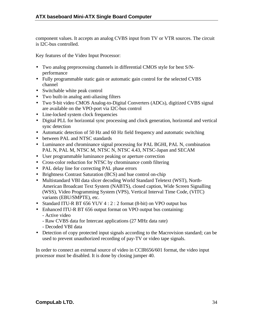component values. It accepts an analog CVBS input from TV or VTR sources. The circuit is I2C-bus controlled.

Key features of the Video Input Processor:

- Two analog preprocessing channels in differential CMOS style for best S/Nperformance
- Fully programmable static gain or automatic gain control for the selected CVBS channel
- Switchable white peak control
- Two built-in analog anti-aliasing filters
- Two 9-bit video CMOS Analog-to-Digital Converters (ADCs), digitized CVBS signal are available on the VPO-port via I2C-bus control
- Line-locked system clock frequencies
- Digital PLL for horizontal sync processing and clock generation, horizontal and vertical sync detection
- Automatic detection of 50 Hz and 60 Hz field frequency and automatic switching
- between PAL and NTSC standards
- Luminance and chrominance signal processing for PAL BGHI, PAL N, combination PAL N, PAL M, NTSC M, NTSC N, NTSC 4.43, NTSC-Japan and SECAM
- User programmable luminance peaking or aperture correction
- Cross-color reduction for NTSC by chrominance comb filtering
- PAL delay line for correcting PAL phase errors
- Brightness Contrast Saturation (BCS) and hue control on-chip
- Multistandard VBI data slicer decoding World Standard Teletext (WST), North-American Broadcast Text System (NABTS), closed caption, Wide Screen Signalling (WSS), Video Programming System (VPS), Vertical Interval Time Code, (VITC) variants (EBU/SMPTE), etc.
- Standard ITU-R BT 656 YUV 4 : 2 : 2 format (8-bit) on VPO output bus
- Enhanced ITU-R BT 656 output format on VPO output bus containing:
	- Active video
	- Raw CVBS data for Intercast applications (27 MHz data rate)
	- Decoded VBI data
- Detection of copy protected input signals according to the Macrovision standard; can be used to prevent unauthorized recording of pay-TV or video tape signals.

In order to connect an external source of video in CCIR656/601 format, the video input processor must be disabled. It is done by closing jumper 40.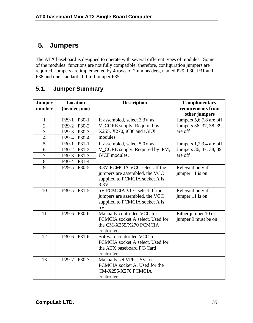## **5. Jumpers**

The ATX baseboard is designed to operate with several different types of modules. Some of the modules' functions are not fully compatible; therefore, configuration jumpers are required. Jumpers are implemented by 4 rows of 2mm headers, named P29, P30, P31 and P38 and one standard 100-mil jumper P35.

#### **5.1. Jumper Summary**

| <b>Jumper</b>            | <b>Location</b>                       | <b>Description</b>                                                                                         | Complimentary                              |
|--------------------------|---------------------------------------|------------------------------------------------------------------------------------------------------------|--------------------------------------------|
| number                   | (header pins)                         |                                                                                                            | requirements from<br>other jumpers         |
| $\mathbf{1}$             | P30-1<br>$P29-1$                      | If assembled, select 3.3V as                                                                               | Jumpers 5,6,7,8 are off                    |
| $\overline{c}$           | P <sub>29</sub> -2 P <sub>30</sub> -2 | V_CORE supply. Required by                                                                                 | Jumpers 36, 37, 38, 39                     |
| 3                        | P <sub>29</sub> -3 P <sub>30</sub> -3 | X255, X270, i686 and iGLX                                                                                  | are off                                    |
| $\overline{\mathcal{L}}$ | P <sub>29</sub> -4 P <sub>30</sub> -4 | modules.                                                                                                   |                                            |
| 5                        | P30-1 P31-1                           | If assembled, select 5.0V as                                                                               | Jumpers 1,2,3,4 are off                    |
| 6                        | P30-2 P31-2                           | V_CORE supply. Required by iPM,                                                                            | Jumpers 36, 37, 38, 39                     |
| $\overline{7}$           | P30-3 P31-3                           | iVCF modules.                                                                                              | are off                                    |
| 8                        | P30-4 P31-4                           |                                                                                                            |                                            |
| $\overline{9}$           | P <sub>29</sub> -5 P <sub>30</sub> -5 | 3.3V PCMCIA VCC select. If the<br>jumpers are assembled, the VCC<br>supplied to PCMCIA socket A is<br>3.3V | Relevant only if<br>jumper 11 is on        |
| 10                       | P30-5 P31-5                           | 5V PCMCIA VCC select. If the<br>jumpers are assembled, the VCC<br>supplied to PCMCIA socket A is<br>5V     | Relevant only if<br>jumper 11 is on        |
| 11                       | P <sub>29</sub> -6 P <sub>30</sub> -6 | Manually controlled VCC for<br>PCMCIA socket A select. Used for<br>the CM-X255/X270 PCMCIA<br>controller   | Either jumper 10 or<br>jumper 9 must be on |
| 12                       | P30-6 P31-6                           | Software controlled VCC for<br>PCMCIA socket A select. Used for<br>the ATX baseboard PC-Card<br>controller |                                            |
| 13                       | P29-7 P30-7                           | Manually set $VPP = 5V$ for<br>PCMCIA socket A. Used for the<br>CM-X255/X270 PCMCIA<br>controller          |                                            |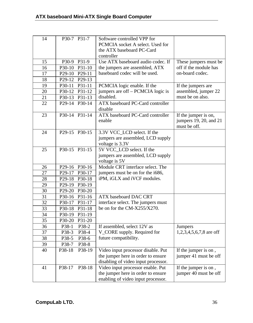| 14              | P30-7 P31-7                             | Software controlled VPP for         |                                    |
|-----------------|-----------------------------------------|-------------------------------------|------------------------------------|
|                 |                                         | PCMCIA socket A select. Used for    |                                    |
|                 |                                         | the ATX baseboard PC-Card           |                                    |
|                 |                                         | controller                          |                                    |
| 15              | P30-9 P31-9                             | Use ATX baseboard audio codec. If   | These jumpers must be              |
| 16              | P30-10 P31-10                           | the jumpers are assembled, ATX      | off if the module has              |
| 17              | P29-10 P29-11                           | baseboard codec will be used.       | on-board codec.                    |
| 18              | P <sub>29</sub> -12 P <sub>29</sub> -13 |                                     |                                    |
| 19              | P31-11<br>P30-11                        | PCMCIA logic enable. If the         | If the jumpers are                 |
| 20              | P30-12 P31-12                           | jumpers are off – PCMCIA logic is   | assembled, jumper 22               |
| 21              | P30-13 P31-13                           | disabled.                           | must be on also.                   |
| 22              | P <sub>29</sub> -14 P <sub>30</sub> -14 | ATX baseboard PC-Card controller    |                                    |
|                 |                                         | disable                             |                                    |
| 23              | P30-14 P31-14                           | ATX baseboard PC-Card controller    | If the jumper is $\overline{on}$ , |
|                 |                                         | enable                              | jumpers 19, 20, and 21             |
|                 |                                         |                                     | must be off.                       |
| 24              | P29-15 P30-15                           | 3.3V VCC_LCD select. If the         |                                    |
|                 |                                         | jumpers are assembled, LCD supply   |                                    |
|                 |                                         | voltage is 3.3V                     |                                    |
| 25              | P30-15 P31-15                           | 5V VCC_LCD select. If the           |                                    |
|                 |                                         | jumpers are assembled, LCD supply   |                                    |
|                 |                                         | voltage is 5V                       |                                    |
| 26              | P29-16 P30-16                           | Module CRT interface select. The    |                                    |
| 27              | P <sub>29</sub> -17 P <sub>30</sub> -17 | jumpers must be on for the i686,    |                                    |
| 28              | P <sub>29</sub> -18 P <sub>30</sub> -18 | iPM, iGLX and iVCF modules.         |                                    |
| 29              | P30-19<br>P <sub>29</sub> -19           |                                     |                                    |
| 30              | P29-20<br>P30-20                        |                                     |                                    |
| 31              | P30-16<br>P31-16                        | ATX baseboard DAC CRT               |                                    |
| $\overline{32}$ | P30-17<br>P31-17                        | interface select. The jumpers must  |                                    |
| $\overline{33}$ | P31-18<br>P30-18                        | be on for the CM-X255/X270.         |                                    |
| $\overline{34}$ | P31-19<br>P30-19                        |                                     |                                    |
| 35              | P30-20<br>P31-20                        |                                     |                                    |
| 36              | P38-1<br>P38-2                          | If assembled, select 12V as         | Jumpers                            |
| $\overline{37}$ | P38-3<br>P38-4                          | V_CORE supply. Required for         | 1,2,3,4,5,6,7,8 are off            |
| 38              | P38-6<br>P38-5                          | future compatibility.               |                                    |
| 39              | P38-7<br>P38-8                          |                                     |                                    |
| 40              | P38-18<br>P38-19                        | Video input processor disable. Put  | If the jumper is on,               |
|                 |                                         | the jumper here in order to ensure  | jumper 41 must be off              |
|                 |                                         | disabling of video input processor. |                                    |
| 41              | $P38-18$<br>P38-17                      | Video input processor enable. Put   | If the jumper is on,               |
|                 |                                         | the jumper here in order to ensure  | jumper 40 must be off              |
|                 |                                         | enabling of video input processor.  |                                    |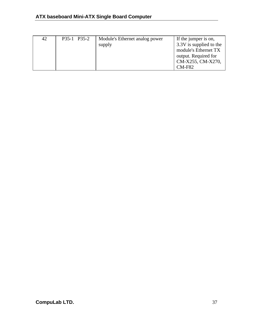| 42 | P35-1 P35-2 | Module's Ethernet analog power | If the jumper is on,    |
|----|-------------|--------------------------------|-------------------------|
|    |             | supply                         | 3.3V is supplied to the |
|    |             |                                | module's Ethernet TX    |
|    |             |                                | output. Required for    |
|    |             |                                | CM-X255, CM-X270,       |
|    |             |                                | <b>CM-F82</b>           |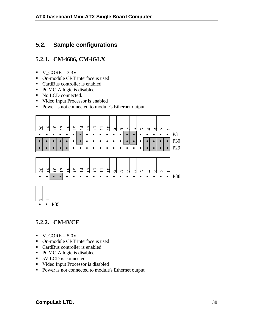#### **5.2. Sample configurations**

#### **5.2.1. CM-i686, CM-iGLX**

- $\bullet$  V CORE = 3.3V
- On-module CRT interface is used
- CardBus controller is enabled
- PCMCIA logic is disabled
- No LCD connected.
- Video Input Processor is enabled
- Power is not connected to module's Ethernet output



• • P35

#### **5.2.2. CM-iVCF**

- $\bullet$  V CORE = 5.0V
- On-module CRT interface is used
- CardBus controller is enabled
- PCMCIA logic is disabled
- 5V LCD is connected.
- Video Input Processor is disabled
- Power is not connected to module's Ethernet output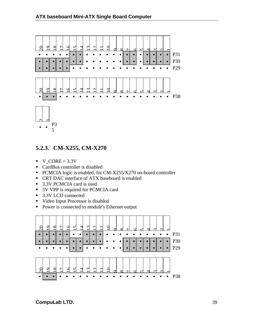

#### **5.2.3. CM-X255, CM-X270**

- $\bullet$  V CORE = 3.3V
- CardBus controller is disabled
- PCMCIA logic is enabled, for CM-X255/X270 on-board controller
- CRT DAC interface of ATX baseboard is enabled
- 3.3V PCMCIA card is used
- **SV VPP** is required for PCMCIA card
- 3.3V LCD connected
- Video Input Processor is disabled
- Power is connected to module's Ethernet output

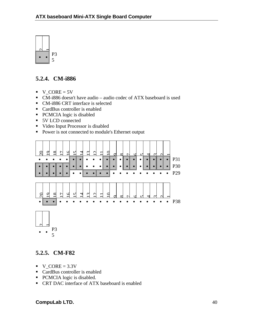

#### **5.2.4. CM-i886**

- $\bullet$  V CORE = 5V
- CM-i886 doesn't have audio audio codec of ATX baseboard is used
- CM-i886 CRT interface is selected
- CardBus controller is enabled
- PCMCIA logic is disabled
- 5V LCD connected
- Video Input Processor is disabled
- Power is not connected to module's Ethernet output



#### **5.2.5. CM-F82**

- $\bullet$  V CORE = 3.3V
- CardBus controller is enabled
- PCMCIA logic is disabled.
- CRT DAC interface of ATX baseboard is enabled

#### **CompuLab LTD.** 40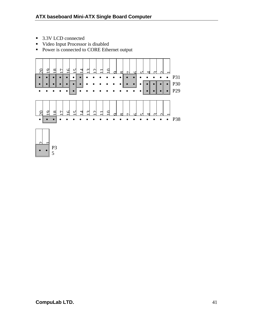- 3.3V LCD connected
- Video Input Processor is disabled
- Power is connected to CORE Ethernet output

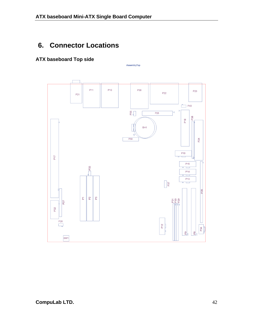# **6. Connector Locations**

#### **ATX baseboard Top side**

AssemblyTop

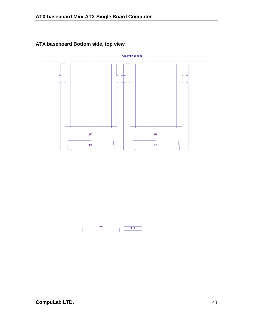

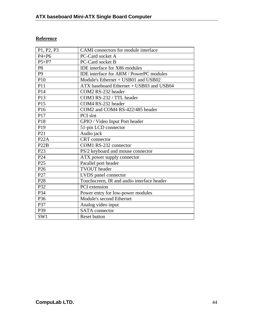#### **Reference**

| P1, P2, P3        | CAMI connectors for module interface       |
|-------------------|--------------------------------------------|
| $P4+P6$           | PC-Card socket A                           |
| $P5+P7$           | PC-Card socket B                           |
| P <sub>8</sub>    | IDE interface for X86 modules              |
| P <sub>9</sub>    | IDE interface for ARM / PowerPC modules    |
| P <sub>10</sub>   | Module's Ethernet + USB01 and USB02        |
| P11               | ATX baseboard Ethernet + USB03 and USB04   |
| P <sub>14</sub>   | COM2 RS-232 header                         |
| P13               | COM3 RS-232 / TTL header                   |
| P <sub>15</sub>   | COM4 RS-232 header                         |
| P <sub>16</sub>   | COM2 and COM4 RS-422/485 header            |
| P17               | PCI slot                                   |
| P <sub>18</sub>   | GPIO / Video Input Port header             |
| P <sub>19</sub>   | 51-pin LCD connector                       |
| P <sub>21</sub>   | Audio jack                                 |
| P <sub>22</sub> A | CRT connector                              |
| P22B              | COM1 RS-232 connector                      |
| P <sub>23</sub>   | PS/2 keyboard and mouse connector          |
| P <sub>24</sub>   | ATX power supply connector                 |
| P <sub>25</sub>   | Parallel port header                       |
| P <sub>26</sub>   | <b>TVOUT</b> header                        |
| P <sub>27</sub>   | LVDS panel connector                       |
| P <sub>28</sub>   | Touchscreen, IR and audio interface header |
| P32               | PCI extension                              |
| P34               | Power entry for low-power modules          |
| P36               | Module's second Ethernet                   |
| P37               | Analog video input                         |
| P39               | <b>SATA</b> connector                      |
| SW1               | <b>Reset button</b>                        |